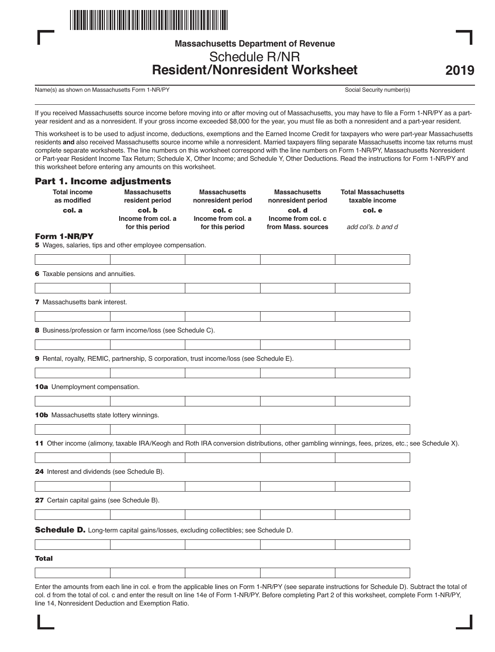

# **Massachusetts Department of Revenue** Schedule R/NR **Resident/Nonresident Worksheet**

Name(s) as shown on Massachusetts Form 1-NR/PY Social Security number(s) Social Security number(s)

If you received Massachusetts source income before moving into or after moving out of Massachusetts, you may have to file a Form 1-NR/PY as a partyear resident and as a nonresident. If your gross income exceeded \$8,000 for the year, you must file as both a nonresident and a part-year resident.

This worksheet is to be used to adjust income, deductions, exemptions and the Earned Income Credit for taxpayers who were part-year Massachusetts residents **and** also received Massachusetts source income while a nonresident. Married taxpayers filing separate Massachusetts income tax returns must complete separate worksheets. The line numbers on this worksheet correspond with the line numbers on Form 1-NR/PY, Massachusetts Nonresident or Part-year Resident Income Tax Return; Schedule X, Other Income; and Schedule Y, Other Deductions. Read the instructions for Form 1-NR/PY and this worksheet before entering any amounts on this worksheet.

### Part 1. Income adjustments

| <b>Total income</b><br>as modified          | <b>Massachusetts</b><br>resident period                                                                                                          | <b>Massachusetts</b><br>nonresident period | <b>Massachusetts</b><br>nonresident period | <b>Total Massachusetts</b><br>taxable income |  |
|---------------------------------------------|--------------------------------------------------------------------------------------------------------------------------------------------------|--------------------------------------------|--------------------------------------------|----------------------------------------------|--|
| col. a                                      | col. b                                                                                                                                           | col. c                                     | col. d                                     | col. e                                       |  |
|                                             | Income from col. a<br>for this period                                                                                                            | Income from col. a<br>for this period      | Income from col. c<br>from Mass, sources   | add col's, b and d                           |  |
| Form 1-NR/PY                                |                                                                                                                                                  |                                            |                                            |                                              |  |
|                                             | 5 Wages, salaries, tips and other employee compensation.                                                                                         |                                            |                                            |                                              |  |
|                                             |                                                                                                                                                  |                                            |                                            |                                              |  |
| 6 Taxable pensions and annuities.           |                                                                                                                                                  |                                            |                                            |                                              |  |
|                                             |                                                                                                                                                  |                                            |                                            |                                              |  |
| 7 Massachusetts bank interest.              |                                                                                                                                                  |                                            |                                            |                                              |  |
|                                             |                                                                                                                                                  |                                            |                                            |                                              |  |
|                                             | 8 Business/profession or farm income/loss (see Schedule C).                                                                                      |                                            |                                            |                                              |  |
|                                             |                                                                                                                                                  |                                            |                                            |                                              |  |
|                                             | 9 Rental, royalty, REMIC, partnership, S corporation, trust income/loss (see Schedule E).                                                        |                                            |                                            |                                              |  |
|                                             |                                                                                                                                                  |                                            |                                            |                                              |  |
| <b>10a</b> Unemployment compensation.       |                                                                                                                                                  |                                            |                                            |                                              |  |
|                                             |                                                                                                                                                  |                                            |                                            |                                              |  |
| 10b Massachusetts state lottery winnings.   |                                                                                                                                                  |                                            |                                            |                                              |  |
|                                             |                                                                                                                                                  |                                            |                                            |                                              |  |
|                                             | 11 Other income (alimony, taxable IRA/Keogh and Roth IRA conversion distributions, other gambling winnings, fees, prizes, etc.; see Schedule X). |                                            |                                            |                                              |  |
|                                             |                                                                                                                                                  |                                            |                                            |                                              |  |
| 24 Interest and dividends (see Schedule B). |                                                                                                                                                  |                                            |                                            |                                              |  |
|                                             |                                                                                                                                                  |                                            |                                            |                                              |  |
| 27 Certain capital gains (see Schedule B).  |                                                                                                                                                  |                                            |                                            |                                              |  |
|                                             |                                                                                                                                                  |                                            |                                            |                                              |  |
|                                             | Schedule D. Long-term capital gains/losses, excluding collectibles; see Schedule D.                                                              |                                            |                                            |                                              |  |
|                                             |                                                                                                                                                  |                                            |                                            |                                              |  |
| Total                                       |                                                                                                                                                  |                                            |                                            |                                              |  |
|                                             |                                                                                                                                                  |                                            |                                            |                                              |  |

Enter the amounts from each line in col. e from the applicable lines on Form 1-NR/PY (see separate instructions for Schedule D). Subtract the total of col. d from the total of col. c and enter the result on line 14e of Form 1-NR/PY. Before completing Part 2 of this worksheet, complete Form 1-NR/PY, line 14, Nonresident Deduction and Exemption Ratio.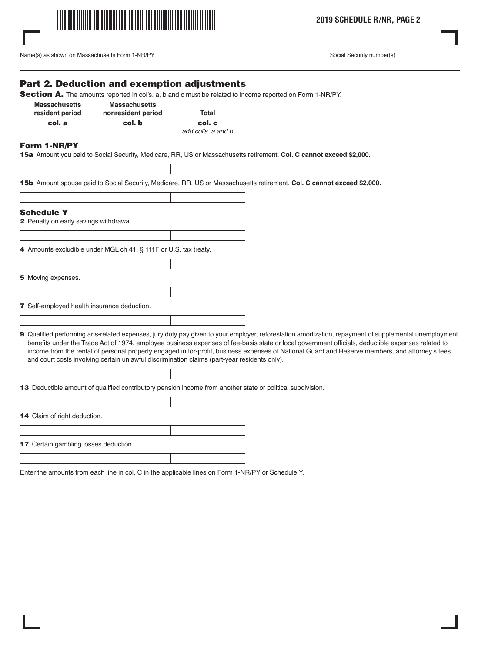

**2019 SCHEDULE R/NR, PAGE 2**

Name(s) as shown on Massachusetts Form 1-NR/PY Social Security number(s) Social Security number(s)

## Part 2. Deduction and exemption adjustments

Section A. The amounts reported in col's. a, b and c must be related to income reported on Form 1-NR/PY.

| <b>Massachusetts</b> | <b>Massachusetts</b> |                   |
|----------------------|----------------------|-------------------|
| resident period      | nonresident period   | Total             |
| col. a               | col. b               | col. c            |
|                      |                      | المستطلحة الملمحة |

add col's. a and b

### Form 1-NR/PY

15a Amount you paid to Social Security, Medicare, RR, US or Massachusetts retirement. **Col. C cannot exceed \$2,000.**

15b Amount spouse paid to Social Security, Medicare, RR, US or Massachusetts retirement. **Col. C cannot exceed \$2,000.**

| <b>Schedule Y</b>                             |                                                                                              |                                                                                                                                                                                                                                                                                                                                                                                                                                                                       |  |
|-----------------------------------------------|----------------------------------------------------------------------------------------------|-----------------------------------------------------------------------------------------------------------------------------------------------------------------------------------------------------------------------------------------------------------------------------------------------------------------------------------------------------------------------------------------------------------------------------------------------------------------------|--|
| <b>2</b> Penalty on early savings withdrawal. |                                                                                              |                                                                                                                                                                                                                                                                                                                                                                                                                                                                       |  |
|                                               |                                                                                              |                                                                                                                                                                                                                                                                                                                                                                                                                                                                       |  |
|                                               | 4 Amounts excludible under MGL ch 41, § 111F or U.S. tax treaty.                             |                                                                                                                                                                                                                                                                                                                                                                                                                                                                       |  |
|                                               |                                                                                              |                                                                                                                                                                                                                                                                                                                                                                                                                                                                       |  |
| 5 Moving expenses.                            |                                                                                              |                                                                                                                                                                                                                                                                                                                                                                                                                                                                       |  |
|                                               |                                                                                              |                                                                                                                                                                                                                                                                                                                                                                                                                                                                       |  |
| 7 Self-employed health insurance deduction.   |                                                                                              |                                                                                                                                                                                                                                                                                                                                                                                                                                                                       |  |
|                                               |                                                                                              |                                                                                                                                                                                                                                                                                                                                                                                                                                                                       |  |
|                                               | and court costs involving certain unlawful discrimination claims (part-year residents only). | <b>9</b> Qualified performing arts-related expenses, jury duty pay given to your employer, reforestation amortization, repayment of supplemental unemployment<br>benefits under the Trade Act of 1974, employee business expenses of fee-basis state or local government officials, deductible expenses related to<br>income from the rental of personal property engaged in for-profit, business expenses of National Guard and Reserve members, and attorney's fees |  |

13 Deductible amount of qualified contributory pension income from another state or political subdivision.

14 Claim of right deduction. 17 Certain gambling losses deduction.

Enter the amounts from each line in col. C in the applicable lines on Form 1-NR/PY or Schedule Y.